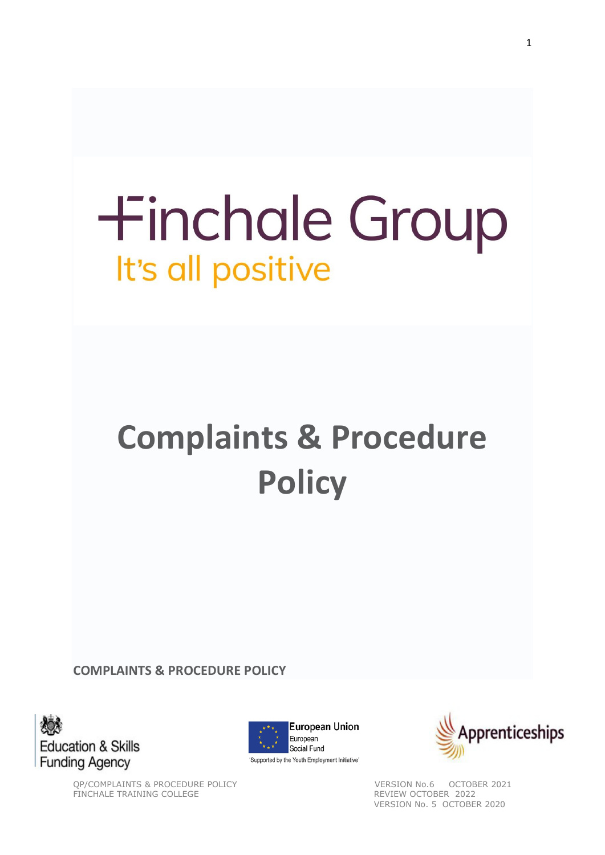# **+inchale Group** It's all positive

## **Complaints & Procedure Policy**

**COMPLAINTS & PROCEDURE POLICY**







QP/COMPLAINTS & PROCEDURE POLICY VERSION No.6 OCTOBER 2021<br>
FINCHALE TRAINING COLLEGE TRAINING COLLEGE TRAINING ASSAULT A REVIEW OCTOBER 2022 VERSION No. 5 OCTOBER 2020

FINCHALE TRAINING COLLEGE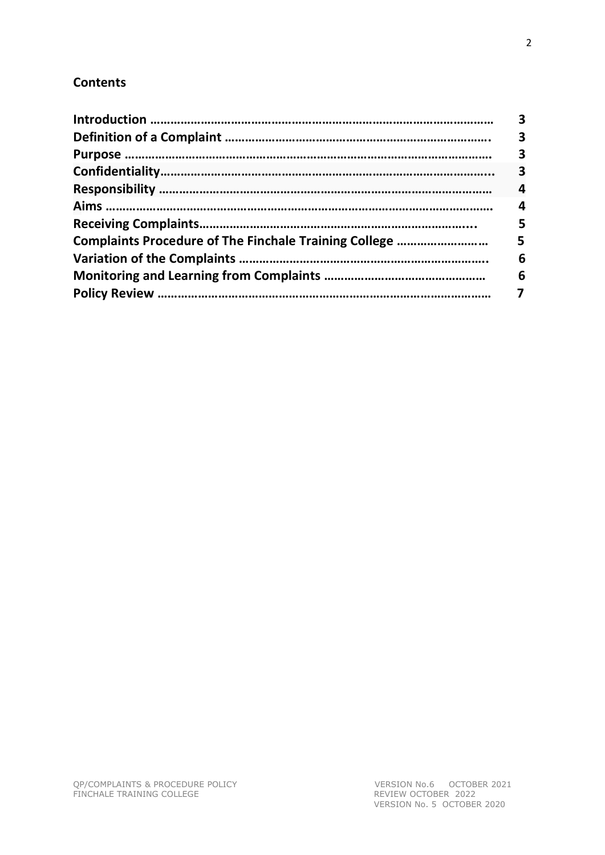### **Contents**

|                                                       | 3 |
|-------------------------------------------------------|---|
|                                                       | 3 |
|                                                       | 3 |
|                                                       | 3 |
|                                                       | 4 |
|                                                       | 4 |
|                                                       | 5 |
| Complaints Procedure of The Finchale Training College | 5 |
|                                                       | 6 |
|                                                       | 6 |
|                                                       |   |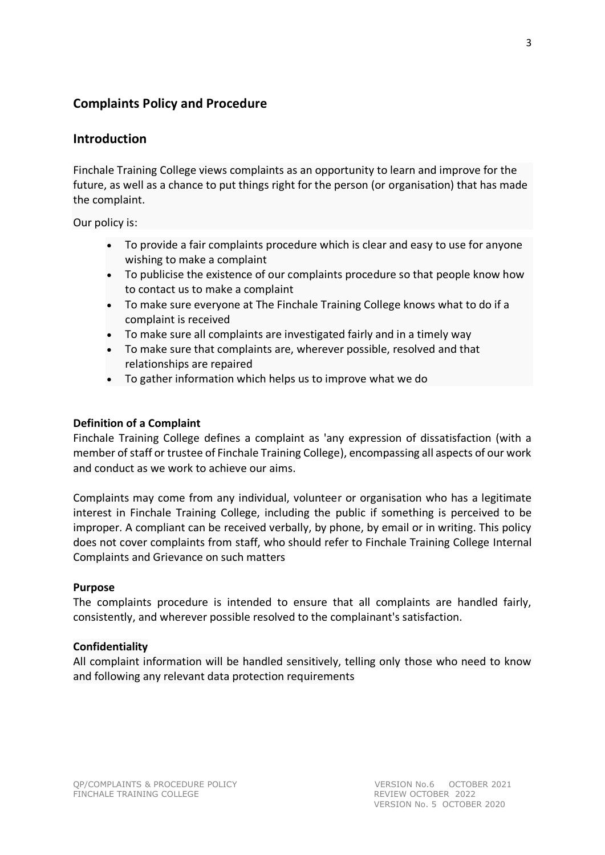#### **Complaints Policy and Procedure**

#### **Introduction**

Finchale Training College views complaints as an opportunity to learn and improve for the future, as well as a chance to put things right for the person (or organisation) that has made the complaint.

Our policy is:

- To provide a fair complaints procedure which is clear and easy to use for anyone wishing to make a complaint
- To publicise the existence of our complaints procedure so that people know how to contact us to make a complaint
- To make sure everyone at The Finchale Training College knows what to do if a complaint is received
- To make sure all complaints are investigated fairly and in a timely way
- To make sure that complaints are, wherever possible, resolved and that relationships are repaired
- To gather information which helps us to improve what we do

#### **Definition of a Complaint**

Finchale Training College defines a complaint as 'any expression of dissatisfaction (with a member of staff or trustee of Finchale Training College), encompassing all aspects of our work and conduct as we work to achieve our aims.

Complaints may come from any individual, volunteer or organisation who has a legitimate interest in Finchale Training College, including the public if something is perceived to be improper. A compliant can be received verbally, by phone, by email or in writing. This policy does not cover complaints from staff, who should refer to Finchale Training College Internal Complaints and Grievance on such matters

#### **Purpose**

The complaints procedure is intended to ensure that all complaints are handled fairly, consistently, and wherever possible resolved to the complainant's satisfaction.

#### **Confidentiality**

All complaint information will be handled sensitively, telling only those who need to know and following any relevant data protection requirements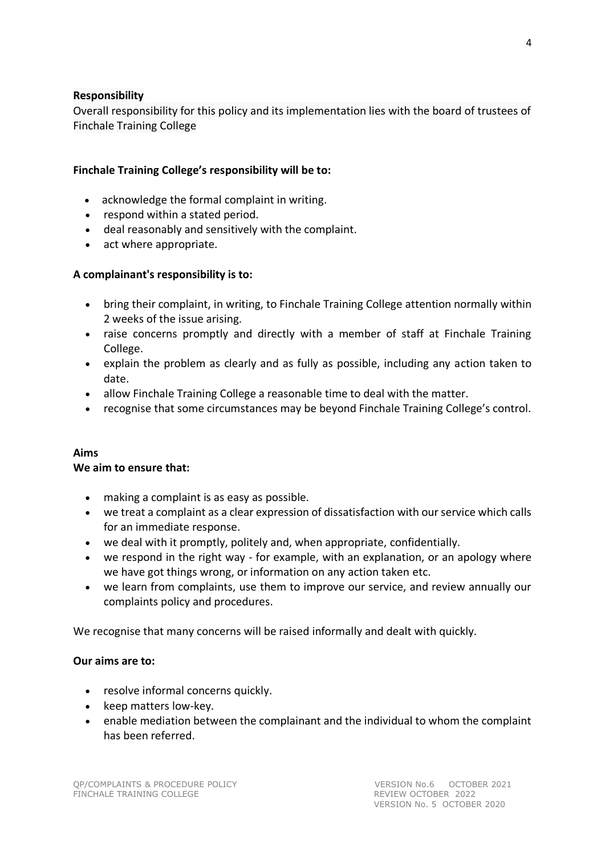#### **Responsibility**

Overall responsibility for this policy and its implementation lies with the board of trustees of Finchale Training College

#### **Finchale Training College's responsibility will be to:**

- acknowledge the formal complaint in writing.
- respond within a stated period.
- deal reasonably and sensitively with the complaint.
- act where appropriate.

#### **A complainant's responsibility is to:**

- bring their complaint, in writing, to Finchale Training College attention normally within 2 weeks of the issue arising.
- raise concerns promptly and directly with a member of staff at Finchale Training College.
- explain the problem as clearly and as fully as possible, including any action taken to date.
- allow Finchale Training College a reasonable time to deal with the matter.
- recognise that some circumstances may be beyond Finchale Training College's control.

#### **Aims**

#### **We aim to ensure that:**

- making a complaint is as easy as possible.
- we treat a complaint as a clear expression of dissatisfaction with our service which calls for an immediate response.
- we deal with it promptly, politely and, when appropriate, confidentially.
- we respond in the right way for example, with an explanation, or an apology where we have got things wrong, or information on any action taken etc.
- we learn from complaints, use them to improve our service, and review annually our complaints policy and procedures.

We recognise that many concerns will be raised informally and dealt with quickly.

#### **Our aims are to:**

- resolve informal concerns quickly.
- keep matters low-key.
- enable mediation between the complainant and the individual to whom the complaint has been referred.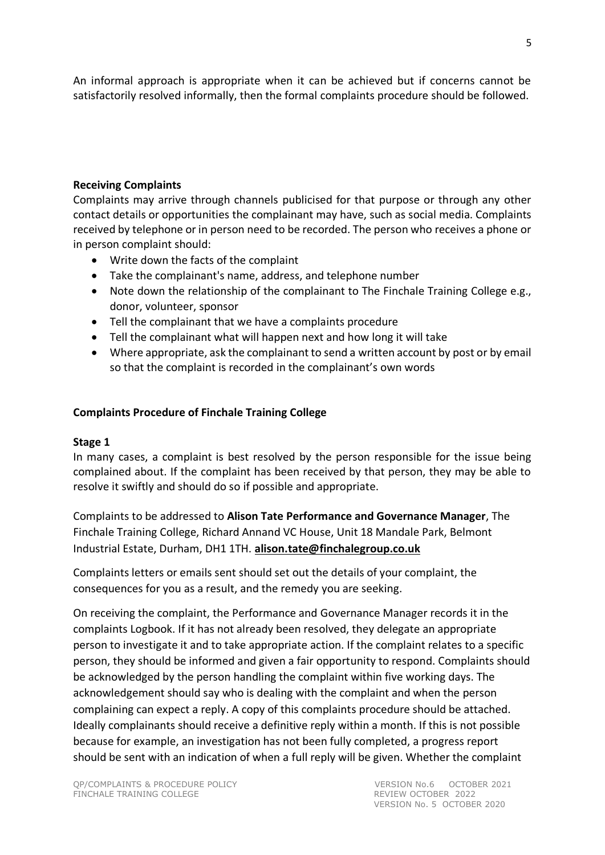An informal approach is appropriate when it can be achieved but if concerns cannot be satisfactorily resolved informally, then the formal complaints procedure should be followed.

#### **Receiving Complaints**

Complaints may arrive through channels publicised for that purpose or through any other contact details or opportunities the complainant may have, such as social media. Complaints received by telephone or in person need to be recorded. The person who receives a phone or in person complaint should:

- Write down the facts of the complaint
- Take the complainant's name, address, and telephone number
- Note down the relationship of the complainant to The Finchale Training College e.g., donor, volunteer, sponsor
- Tell the complainant that we have a complaints procedure
- Tell the complainant what will happen next and how long it will take
- Where appropriate, ask the complainant to send a written account by post or by email so that the complaint is recorded in the complainant's own words

#### **Complaints Procedure of Finchale Training College**

#### **Stage 1**

In many cases, a complaint is best resolved by the person responsible for the issue being complained about. If the complaint has been received by that person, they may be able to resolve it swiftly and should do so if possible and appropriate.

Complaints to be addressed to **Alison Tate Performance and Governance Manager**, The Finchale Training College, Richard Annand VC House, Unit 18 Mandale Park, Belmont Industrial Estate, Durham, DH1 1TH. **[alison.tate@finchalegroup.co.uk](mailto:alison.tate@finchalegroup.co.uk)**

Complaints letters or emails sent should set out the details of your complaint, the consequences for you as a result, and the remedy you are seeking.

On receiving the complaint, the Performance and Governance Manager records it in the complaints Logbook. If it has not already been resolved, they delegate an appropriate person to investigate it and to take appropriate action. If the complaint relates to a specific person, they should be informed and given a fair opportunity to respond. Complaints should be acknowledged by the person handling the complaint within five working days. The acknowledgement should say who is dealing with the complaint and when the person complaining can expect a reply. A copy of this complaints procedure should be attached. Ideally complainants should receive a definitive reply within a month. If this is not possible because for example, an investigation has not been fully completed, a progress report should be sent with an indication of when a full reply will be given. Whether the complaint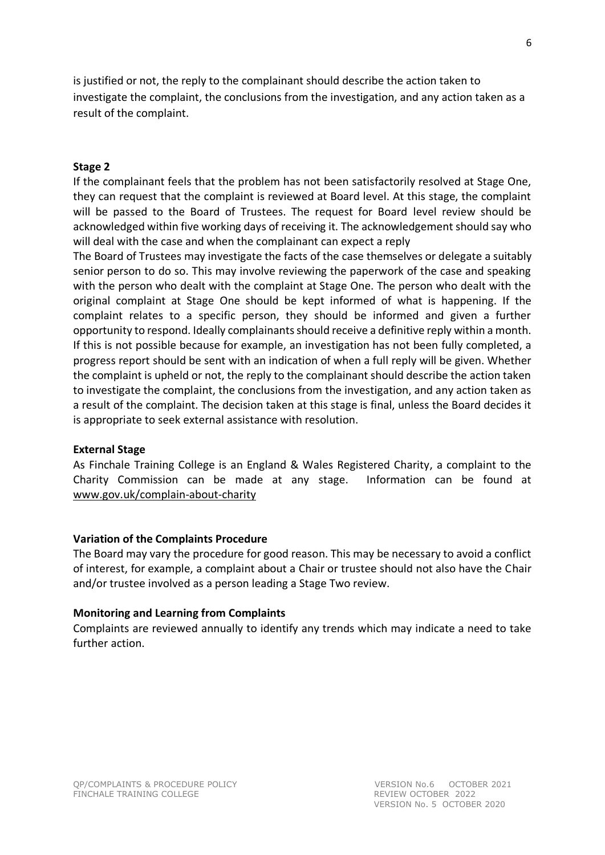is justified or not, the reply to the complainant should describe the action taken to investigate the complaint, the conclusions from the investigation, and any action taken as a result of the complaint.

#### **Stage 2**

If the complainant feels that the problem has not been satisfactorily resolved at Stage One, they can request that the complaint is reviewed at Board level. At this stage, the complaint will be passed to the Board of Trustees. The request for Board level review should be acknowledged within five working days of receiving it. The acknowledgement should say who will deal with the case and when the complainant can expect a reply

The Board of Trustees may investigate the facts of the case themselves or delegate a suitably senior person to do so. This may involve reviewing the paperwork of the case and speaking with the person who dealt with the complaint at Stage One. The person who dealt with the original complaint at Stage One should be kept informed of what is happening. If the complaint relates to a specific person, they should be informed and given a further opportunity to respond. Ideally complainants should receive a definitive reply within a month. If this is not possible because for example, an investigation has not been fully completed, a progress report should be sent with an indication of when a full reply will be given. Whether the complaint is upheld or not, the reply to the complainant should describe the action taken to investigate the complaint, the conclusions from the investigation, and any action taken as a result of the complaint. The decision taken at this stage is final, unless the Board decides it is appropriate to seek external assistance with resolution.

#### **External Stage**

As Finchale Training College is an England & Wales Registered Charity, a complaint to the Charity Commission can be made at any stage. Information can be found at [www.gov.uk/complain-about-charity](http://www.gov.uk/complain-about-charity)

#### **Variation of the Complaints Procedure**

The Board may vary the procedure for good reason. This may be necessary to avoid a conflict of interest, for example, a complaint about a Chair or trustee should not also have the Chair and/or trustee involved as a person leading a Stage Two review.

#### **Monitoring and Learning from Complaints**

Complaints are reviewed annually to identify any trends which may indicate a need to take further action.